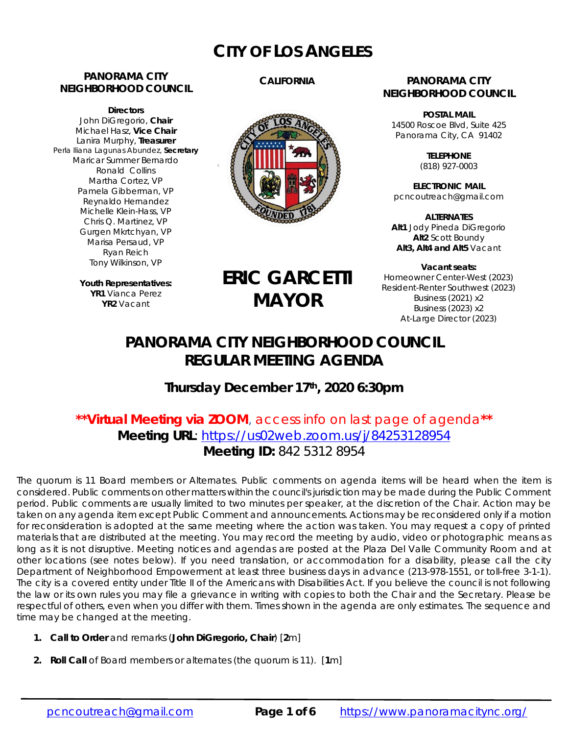# **CITY OF LOS ANGELES**

# **PANORAMA CITY NEIGHBORHOOD COUNCIL**

**Directors**  John DiGregorio, **Chair** Michael Hasz, **Vice Chair** Lanira Murphy, **Treasurer** Perla Iliana Lagunas Abundez, **Secretary** Maricar Summer Bernardo Ronald Collins Martha Cortez, VP Pamela Gibberman, VP Reynaldo Hernandez Michelle Klein-Hass, VP Chris Q. Martinez, VP Gurgen Mkrtchyan, VP Marisa Persaud, VP Ryan Reich Tony Wilkinson, VP

> **Youth Representatives: YR1** Vianca Perez **YR2** Vacant

# **CALIFORNIA**



#### **PANORAMA CITY NEIGHBORHOOD COUNCIL**

**POSTAL MAIL** 14500 Roscoe Blvd, Suite 425 Panorama City, CA 91402

> **TELEPHONE** (818) 927-0003

**ELECTRONIC MAIL** pcncoutreach@gmail.com

**ALTERNATES Alt1** Jody Pineda DiGregorio **Alt2** Scott Boundy **Alt3, Alt4 and Alt5** Vacant

**Vacant seats:**  Homeowner Center-West (2023) Resident-Renter Southwest (2023) Business (2021) x2 Business (2023) x2 At-Large Director (2023)

# **PANORAMA CITY NEIGHBORHOOD COUNCIL REGULAR MEETING AGENDA**

**ERIC GARCETTI**

**MAYOR**

# **Thursday December 17th, 2020 6:30pm**

# **\*\*Virtual Meeting via ZOOM**, access info on last page of agenda**\*\* Meeting URL**: https://us02web.zoom.us/j/84253128954 **Meeting ID:** 842 5312 8954

The quorum is 11 Board members or Alternates. Public comments on agenda items will be heard when the item is considered. Public comments on other matters within the council's jurisdiction may be made during the Public Comment period. Public comments are usually limited to two minutes per speaker, at the discretion of the Chair. Action may be taken on any agenda item except Public Comment and announcements. Actions may be reconsidered only if a motion for reconsideration is adopted at the same meeting where the action was taken. You may request a copy of printed materials that are distributed at the meeting. You may record the meeting by audio, video or photographic means as long as it is not disruptive. Meeting notices and agendas are posted at the Plaza Del Valle Community Room and at other locations (see notes below). If you need translation, or accommodation for a disability, please call the city Department of Neighborhood Empowerment at least three business days in advance (213-978-1551, or toll-free 3-1-1). The city is a covered entity under Title II of the Americans with Disabilities Act. If you believe the council is not following the law or its own rules you may file a grievance in writing with copies to both the Chair and the Secretary. Please be respectful of others, even when you differ with them. Times shown in the agenda are only estimates. The sequence and time may be changed at the meeting.

- **1. Call to Order** and remarks (*John DiGregorio***, Chair**) [**2**m]
- **2. Roll Call** of Board members or alternates (the quorum is 11). [**1**m]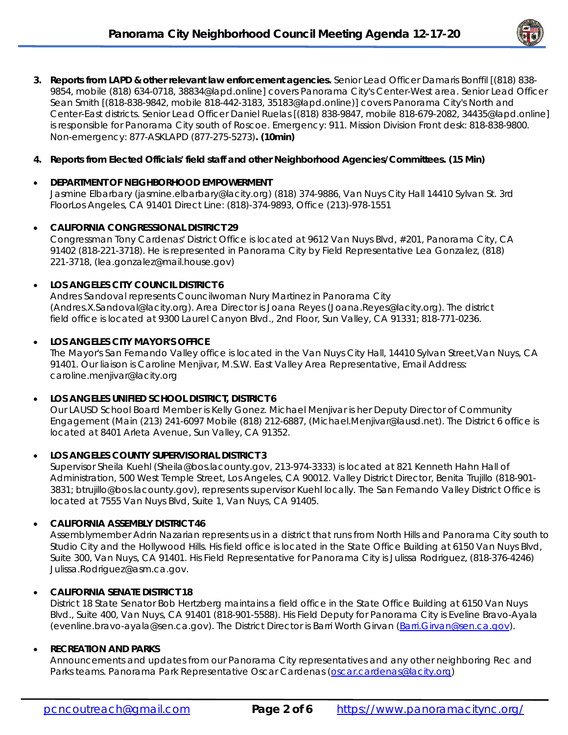

**3. Reports from LAPD & other relevant law enforcement agencies.** Senior Lead Officer Damaris Bonffil [(818) 838- 9854, mobile (818) 634-0718, 38834@lapd.online] covers Panorama City's Center-West area. Senior Lead Officer Sean Smith [(818-838-9842, mobile 818-442-3183, 35183@lapd.online)] covers Panorama City's North and Center-East districts. Senior Lead Officer Daniel Ruelas [(818) 838-9847, mobile 818-679-2082, 34435@lapd.online] is responsible for Panorama City south of Roscoe. Emergency: 911. Mission Division Front desk: 818-838-9800. Non-emergency: 877-ASKLAPD (877-275-5273)**. (10min)**

### **4. Reports from Elected Officials' field staff and other Neighborhood Agencies/Committees. (15 Min)**

#### **DEPARTMENT OF NEIGHBORHOOD EMPOWERMENT**

Jasmine Elbarbary (jasmine.elbarbary@lacity.org) (818) 374-9886, Van Nuys City Hall 14410 Sylvan St. 3rd FloorLos Angeles, CA 91401 Direct Line: (818)-374-9893, Office (213)-978-1551

#### **CALIFORNIA CONGRESSIONAL DISTRICT 29**

Congressman Tony Cardenas' District Office is located at 9612 Van Nuys Blvd, #201, Panorama City, CA 91402 (818-221-3718). He is represented in Panorama City by Field Representative Lea Gonzalez, (818) 221-3718, (lea.gonzalez@mail.house.gov)

#### **LOS ANGELES CITY COUNCIL DISTRICT 6**

Andres Sandoval represents Councilwoman Nury Martinez in Panorama City (Andres.X.Sandoval@lacity.org). Area Director is Joana Reyes (Joana.Reyes@lacity.org). The district field office is located at 9300 Laurel Canyon Blvd., 2nd Floor, Sun Valley, CA 91331; 818-771-0236.

#### **LOS ANGELES CITY MAYOR'S OFFICE**

The Mayor's San Fernando Valley office is located in the Van Nuys City Hall, 14410 Sylvan Street,Van Nuys, CA 91401. Our liaison is Caroline Menjivar, M.S.W. East Valley Area Representative, Email Address: caroline.menjivar@lacity.org

#### **LOS ANGELES UNIFIED SCHOOL DISTRICT, DISTRICT 6**

Our LAUSD School Board Member is Kelly Gonez. Michael Menjivar is her Deputy Director of Community Engagement (Main (213) 241-6097 Mobile (818) 212-6887, (Michael.Menjivar@lausd.net). The District 6 office is located at 8401 Arleta Avenue, Sun Valley, CA 91352.

#### **LOS ANGELES COUNTY SUPERVISORIAL DISTRICT 3**

Supervisor Sheila Kuehl (Sheila@bos.lacounty.gov, 213-974-3333) is located at 821 Kenneth Hahn Hall of Administration, 500 West Temple Street, Los Angeles, CA 90012. Valley District Director, Benita Trujillo (818-901- 3831; btrujillo@bos.lacounty.gov), represents supervisor Kuehl locally. The San Fernando Valley District Office is located at 7555 Van Nuys Blvd, Suite 1, Van Nuys, CA 91405.

# **CALIFORNIA ASSEMBLY DISTRICT 46**

Assemblymember Adrin Nazarian represents us in a district that runs from North Hills and Panorama City south to Studio City and the Hollywood Hills. His field office is located in the State Office Building at 6150 Van Nuys Blvd, Suite 300, Van Nuys, CA 91401. His Field Representative for Panorama City is Julissa Rodriguez, (818-376-4246) Julissa.Rodriguez@asm.ca.gov.

# **CALIFORNIA SENATE DISTRICT 18**

District 18 State Senator Bob Hertzberg maintains a field office in the State Office Building at 6150 Van Nuys Blvd., Suite 400, Van Nuys, CA 91401 (818-901-5588). His Field Deputy for Panorama City is Eveline Bravo-Ayala (evenline.bravo-ayala@sen.ca.gov). The District Director is Barri Worth Girvan (Barri.Girvan@sen.ca.gov).

# **RECREATION AND PARKS**

Announcements and updates from our Panorama City representatives and any other neighboring Rec and Parks teams. Panorama Park Representative Oscar Cardenas (oscar.cardenas@lacity.org)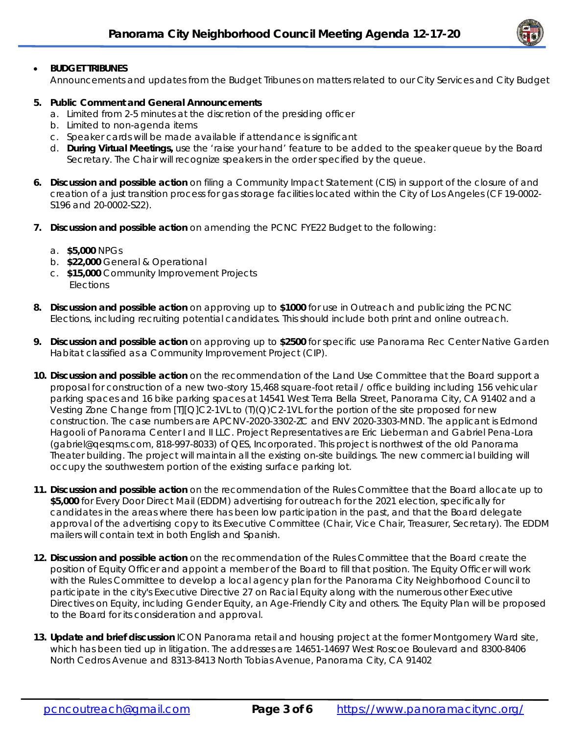# **BUDGET TRIBUNES**

Announcements and updates from the Budget Tribunes on matters related to our City Services and City Budget

#### **5. Public Comment and General Announcements**

- a. Limited from 2-5 minutes at the discretion of the presiding officer
- b. Limited to non-agenda items
- c. Speaker cards will be made available if attendance is significant
- d. **During Virtual Meetings,** use the 'raise your hand' feature to be added to the speaker queue by the Board Secretary. The Chair will recognize speakers in the order specified by the queue.
- **6. Discussion and possible action** on filing a Community Impact Statement (CIS) in support of the closure of and creation of a just transition process for gas storage facilities located within the City of Los Angeles (CF 19-0002- S196 and 20-0002-S22).
- **7. Discussion and possible action** on amending the PCNC FYE22 Budget to the following:
	- a. **\$5,000** NPGs
	- b. **\$22,000** General & Operational
	- c. **\$15,000** Community Improvement Projects **Elections**
- **8. Discussion and possible action** on approving up to **\$1000** for use in Outreach and publicizing the PCNC Elections, including recruiting potential candidates. This should include both print and online outreach.
- **9. Discussion and possible action** on approving up to **\$2500** for specific use Panorama Rec Center *Native Garden Habitat* classified as a Community Improvement Project (CIP).
- **10. Discussion and possible action** on the recommendation of the Land Use Committee that the Board support a proposal for construction of a new two-story 15,468 square-foot retail / office building including 156 vehicular parking spaces and 16 bike parking spaces at 14541 West Terra Bella Street, Panorama City, CA 91402 and a Vesting Zone Change from [T][Q]C2-1VL to (T)(Q)C2-1VL for the portion of the site proposed for new construction. The case numbers are APCNV-2020-3302-ZC and ENV 2020-3303-MND. The applicant is Edmond Hagooli of Panorama Center I and II LLC. Project Representatives are Eric Lieberman and Gabriel Pena-Lora (gabriel@qesqms.com, 818-997-8033) of QES, Incorporated. This project is northwest of the old Panorama Theater building. The project will maintain all the existing on-site buildings. The new commercial building will occupy the southwestern portion of the existing surface parking lot.
- **11. Discussion and possible action** on the recommendation of the Rules Committee that the Board allocate up to **\$5,000** for Every Door Direct Mail (EDDM) advertising for outreach for the 2021 election, specifically for candidates in the areas where there has been low participation in the past, and that the Board delegate approval of the advertising copy to its Executive Committee (Chair, Vice Chair, Treasurer, Secretary). The EDDM mailers will contain text in both English and Spanish.
- **12. Discussion and possible action** on the recommendation of the Rules Committee that the Board create the position of Equity Officer and appoint a member of the Board to fill that position. The Equity Officer will work with the Rules Committee to develop a local agency plan for the Panorama City Neighborhood Council to participate in the city's Executive Directive 27 on Racial Equity along with the numerous other Executive Directives on Equity, including Gender Equity, an Age-Friendly City and others. The Equity Plan will be proposed to the Board for its consideration and approval.
- **13. Update and brief discussion** ICON Panorama retail and housing project at the former Montgomery Ward site, which has been tied up in litigation. The addresses are 14651-14697 West Roscoe Boulevard and 8300-8406 North Cedros Avenue and 8313-8413 North Tobias Avenue, Panorama City, CA 91402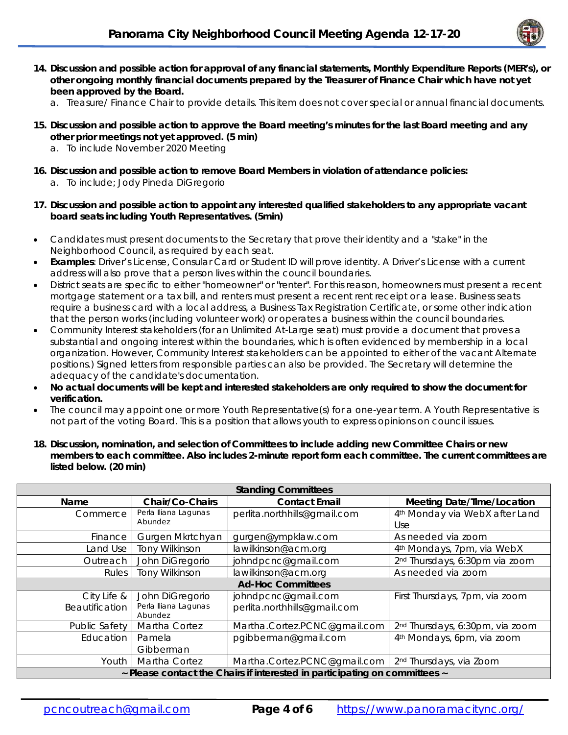

- **14. Discussion and possible action for approval of any financial statements, Monthly Expenditure Reports (MER's), or other ongoing monthly financial documents prepared by the Treasurer of Finance Chair which have not yet been approved by the Board.** 
	- a. Treasure/ Finance Chair to provide details. This item does not cover special or annual financial documents.
- **15. Discussion and possible action to approve the Board meeting's minutes for the last Board meeting and any other prior meetings not yet approved. (5 min)** 
	- a. To include November 2020 Meeting
- **16. Discussion and possible action to remove Board Members in violation of attendance policies:**  a. To include; Jody Pineda DiGregorio
- **17. Discussion and possible action to appoint any interested qualified stakeholders to any appropriate vacant board seats including Youth Representatives. (5min)**
- Candidates must present documents to the Secretary that prove their identity and a "stake" in the Neighborhood Council, as required by each seat.
- **Examples**: Driver's License, Consular Card or Student ID will prove identity. A Driver's License with a current address will also prove that a person lives within the council boundaries.
- District seats are specific to either "homeowner" or "renter". For this reason, homeowners must present a recent mortgage statement or a tax bill, and renters must present a recent rent receipt or a lease. Business seats require a business card with a local address, a Business Tax Registration Certificate, or some other indication that the person works (including volunteer work) or operates a business within the council boundaries.
- Community Interest stakeholders (for an Unlimited At-Large seat) must provide a document that proves a substantial and ongoing interest within the boundaries, which is often evidenced by membership in a local organization. However, Community Interest stakeholders can be appointed to either of the vacant Alternate positions.) Signed letters from responsible parties can also be provided. The Secretary will determine the adequacy of the candidate's documentation.
- **No actual documents will be kept and interested stakeholders are only required to show the document for verification.**
- The council may appoint one or more Youth Representative(s) for a one-year term. A Youth Representative is not part of the voting Board. This is a position that allows youth to express opinions on council issues.
- **18. Discussion, nomination, and selection of Committees to include adding new Committee Chairs or new members to each committee. Also includes 2-minute report form each committee. The current committees are listed below. (20 min)**

| <b>Standing Committees</b>                                                 |                                                    |                                                     |                                                   |
|----------------------------------------------------------------------------|----------------------------------------------------|-----------------------------------------------------|---------------------------------------------------|
| <b>Name</b>                                                                | Chair/Co-Chairs                                    | <b>Contact Email</b>                                | <b>Meeting Date/Time/Location</b>                 |
| Commerce                                                                   | Perla Iliana Lagunas<br>Abundez                    | perlita.northhills@gmail.com                        | 4 <sup>th</sup> Monday via WebX after Land<br>Use |
| Finance                                                                    | Gurgen Mkrtchyan                                   | gurgen@ympklaw.com                                  | As needed via zoom                                |
| Land Use                                                                   | <b>Tony Wilkinson</b>                              | lawilkinson@acm.org                                 | 4 <sup>th</sup> Mondays, 7pm, via WebX            |
| Outreach                                                                   | John DiGregorio                                    | johndpcnc@gmail.com                                 | 2 <sup>nd</sup> Thursdays, 6:30pm via zoom        |
| Rules                                                                      | <b>Tony Wilkinson</b>                              | lawilkinson@acm.org                                 | As needed via zoom                                |
| <b>Ad-Hoc Committees</b>                                                   |                                                    |                                                     |                                                   |
| City Life &<br>Beautification                                              | John DiGregorio<br>Perla Iliana Lagunas<br>Abundez | johndpcnc@gmail.com<br>perlita.northhills@gmail.com | First Thursdays, 7pm, via zoom                    |
| Public Safety                                                              | Martha Cortez                                      | Martha.Cortez.PCNC@gmail.com                        | 2 <sup>nd</sup> Thursdays, 6:30pm, via zoom       |
| Education                                                                  | Pamela<br>Gibberman                                | pgibberman@gmail.com                                | 4 <sup>th</sup> Mondays, 6pm, via zoom            |
| Youth                                                                      | Martha Cortez                                      | Martha.Cortez.PCNC@gmail.com                        | 2 <sup>nd</sup> Thursdays, via Zoom               |
| ~ Please contact the Chairs if interested in participating on committees ~ |                                                    |                                                     |                                                   |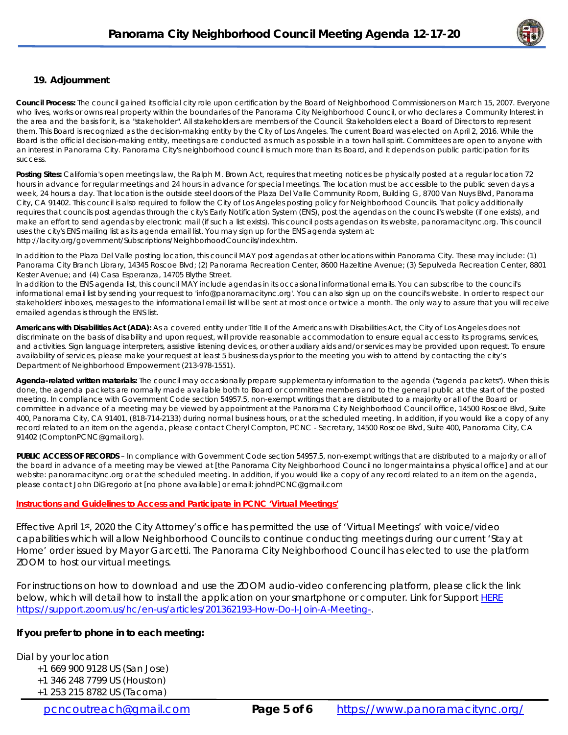

#### **19. Adjournment**

**Council Process:** The council gained its official city role upon certification by the Board of Neighborhood Commissioners on March 15, 2007. Everyone who lives, works or owns real property within the boundaries of the Panorama City Neighborhood Council, or who declares a Community Interest in the area and the basis for it, is a "stakeholder". All stakeholders are members of the Council. Stakeholders elect a Board of Directors to represent them. This Board is recognized as the decision-making entity by the City of Los Angeles. The current Board was elected on April 2, 2016. While the Board is the official decision-making entity, meetings are conducted as much as possible in a town hall spirit. Committees are open to anyone with an interest in Panorama City. Panorama City's neighborhood council is much more than its Board, and it depends on public participation for its success.

**Posting Sites:** California's open meetings law, the Ralph M. Brown Act, requires that meeting notices be physically posted at a regular location 72 hours in advance for regular meetings and 24 hours in advance for special meetings. The location must be accessible to the public seven days a week, 24 hours a day. That location is the outside steel doors of the Plaza Del Valle Community Room, Building G, 8700 Van Nuys Blvd, Panorama City, CA 91402. This council is also required to follow the City of Los Angeles posting policy for Neighborhood Councils. That policy additionally requires that councils post agendas through the city's Early Notification System (ENS), post the agendas on the council's website (if one exists), and make an effort to send agendas by electronic mail (if such a list exists). This council posts agendas on its website, panoramacitync.org. This council uses the city's ENS mailing list as its agenda email list. You may sign up for the ENS agenda system at: http://lacity.org/government/Subscriptions/NeighborhoodCouncils/index.htm.

In addition to the Plaza Del Valle posting location, this council MAY post agendas at other locations within Panorama City. These may include: (1) Panorama City Branch Library, 14345 Roscoe Blvd; (2) Panorama Recreation Center, 8600 Hazeltine Avenue; (3) Sepulveda Recreation Center, 8801 Kester Avenue; and (4) Casa Esperanza, 14705 Blythe Street.

In addition to the ENS agenda list, this council MAY include agendas in its occasional informational emails. You can subscribe to the council's informational email list by sending your request to 'info@panoramacitync.org'. You can also sign up on the council's website. In order to respect our stakeholders' inboxes, messages to the informational email list will be sent at most once or twice a month. *The only way to assure that you will receive emailed agendas is through the ENS list.* 

**Americans with Disabilities Act (ADA):** As a covered entity under Title II of the Americans with Disabilities Act, the City of Los Angeles does not discriminate on the basis of disability and upon request, will provide reasonable accommodation to ensure equal access to its programs, services, and activities. Sign language interpreters, assistive listening devices, or other auxiliary aids and/or services may be provided upon request. To ensure availability of services, please make your request at least 5 business days prior to the meeting you wish to attend by contacting the city's Department of Neighborhood Empowerment (213-978-1551).

**Agenda-related written materials:** The council may occasionally prepare supplementary information to the agenda ("agenda packets"). When this is done, the agenda packets are normally made available both to Board or committee members and to the general public at the start of the posted meeting. In compliance with Government Code section 54957.5, non-exempt writings that are distributed to a majority or all of the Board or committee *in advance of a meeting* may be viewed by appointment at the Panorama City Neighborhood Council office, 14500 Roscoe Blvd, Suite 400, Panorama City, CA 91401, (818-714-2133) during normal business hours, or at the scheduled meeting. In addition, if you would like a copy of any record related to an item on the agenda, please contact Cheryl Compton, PCNC - Secretary, 14500 Roscoe Blvd, Suite 400, Panorama City, CA 91402 (ComptonPCNC@gmail.org).

**PUBLIC ACCESS OF RECORDS** – In compliance with Government Code section 54957.5, non-exempt writings that are distributed to a majority or all of the board in advance of a meeting may be viewed at [the Panorama City Neighborhood Council no longer maintains a physical office] and at our website: panoramacitync.org or at the scheduled meeting. In addition, if you would like a copy of any record related to an item on the agenda, please contact John DiGregorio at [no phone available] or email: johndPCNC@gmail.com

#### **Instructions and Guidelines to Access and Participate in PCNC 'Virtual Meetings'**

Effective April 1st, 2020 the City Attorney's office has permitted the use of 'Virtual Meetings' with voice/video capabilities which will allow Neighborhood Councils to continue conducting meetings during our current 'Stay at Home' order issued by Mayor Garcetti. The Panorama City Neighborhood Council has elected to use the platform ZOOM to host our virtual meetings.

For instructions on how to download and use the ZOOM audio-video conferencing platform, please click the link below, which will detail how to install the application on your smartphone or computer. Link for Support HERE https://support.zoom.us/hc/en-us/articles/201362193-How-Do-I-Join-A-Meeting-.

#### **If you prefer to phone in to each meeting:**

Dial by your location

- +1 669 900 9128 US (San Jose)
- +1 346 248 7799 US (Houston)
- +1 253 215 8782 US (Tacoma)